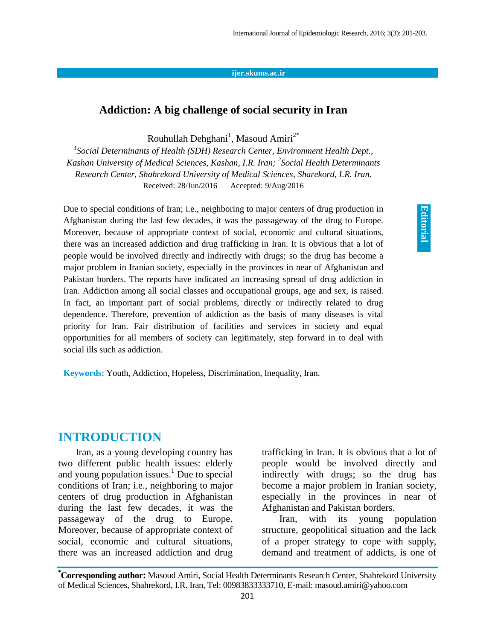## **ijer.skums.ac.ir**

## **Addiction: A big challenge of social security in Iran**

Rouhullah Dehghani<sup>1</sup>, Masoud Amiri<sup>2\*</sup>

*1 Social Determinants of Health (SDH) Research Center, Environment Health Dept., Kashan University of Medical Sciences, Kashan, I.R. Iran; 2 Social Health Determinants Research Center, Shahrekord University of Medical Sciences, Sharekord, I.R. Iran.* Received: 28/Jun/2016 Accepted: 9/Aug/2016

Due to special conditions of Iran; i.e., neighboring to major centers of drug production in Afghanistan during the last few decades, it was the passageway of the drug to Europe. Moreover, because of appropriate context of social, economic and cultural situations, there was an increased addiction and drug trafficking in Iran. It is obvious that a lot of people would be involved directly and indirectly with drugs; so the drug has become a major problem in Iranian society, especially in the provinces in near of Afghanistan and Pakistan borders. The reports have indicated an increasing spread of drug addiction in Iran. Addiction among all social classes and occupational groups, age and sex, is raised. In fact, an important part of social problems, directly or indirectly related to drug dependence. Therefore, prevention of addiction as the basis of many diseases is vital priority for Iran. Fair distribution of facilities and services in society and equal opportunities for all members of society can legitimately, step forward in to deal with social ills such as addiction.

**Keywords:** Youth, Addiction, Hopeless, Discrimination, Inequality, Iran.

## **INTRODUCTION**

Iran, as a young developing country has two different public health issues: elderly and young population issues. <sup>1</sup> Due to special conditions of Iran; i.e., neighboring to major centers of drug production in Afghanistan during the last few decades, it was the passageway of the drug to Europe. Moreover, because of appropriate context of social, economic and cultural situations, there was an increased addiction and drug trafficking in Iran. It is obvious that a lot of people would be involved directly and indirectly with drugs; so the drug has become a major problem in Iranian society, especially in the provinces in near of Afghanistan and Pakistan borders.

**Editorial Editorial**

Iran, with its young population structure, geopolitical situation and the lack of a proper strategy to cope with supply, demand and treatment of addicts, is one of

**<sup>\*</sup>Corresponding author:** Masoud Amiri, Social Health Determinants Research Center, Shahrekord University of Medical Sciences, Shahrekord, I.R. Iran, Tel: 00983833333710, E-mail: masoud.amiri@yahoo.com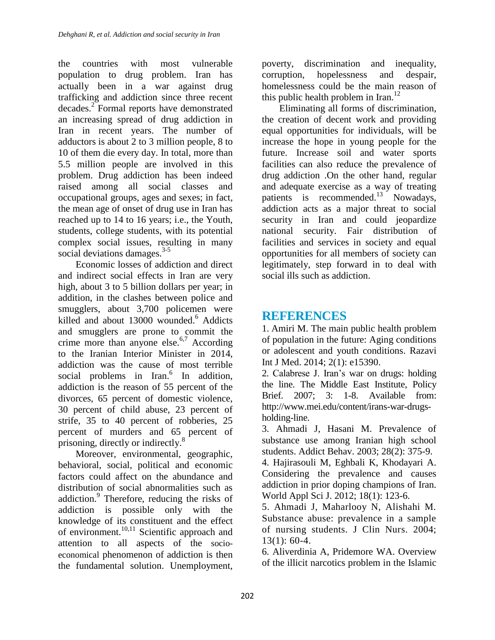the countries with most vulnerable population to drug problem. Iran has actually been in a war against drug trafficking and addiction since three recent decades. 2 Formal reports have demonstrated an increasing spread of drug addiction in Iran in recent years. The number of adductors is about 2 to 3 million people, 8 to 10 of them die every day. In total, more than 5.5 million people are involved in this problem. Drug addiction has been indeed raised among all social classes and occupational groups, ages and sexes; in fact, the mean age of onset of drug use in Iran has reached up to 14 to 16 years; i.e., the Youth, students, college students, with its potential complex social issues, resulting in many social deviations damages.<sup>3-5</sup>

Economic losses of addiction and direct and indirect social effects in Iran are very high, about 3 to 5 billion dollars per year; in addition, in the clashes between police and smugglers, about 3,700 policemen were killed and about 13000 wounded. <sup>6</sup> Addicts and smugglers are prone to commit the crime more than anyone else.<sup>6,7</sup> According to the Iranian Interior Minister in 2014, addiction was the cause of most terrible social problems in Iran.<sup>6</sup> In addition, addiction is the reason of 55 percent of the divorces, 65 percent of domestic violence, 30 percent of child abuse, 23 percent of strife, 35 to 40 percent of robberies, 25 percent of murders and 65 percent of prisoning, directly or indirectly.<sup>8</sup>

Moreover, environmental, geographic, behavioral, social, political and economic factors could affect on the abundance and distribution of social abnormalities such as addiction.<sup>9</sup> Therefore, reducing the risks of addiction is possible only with the knowledge of its constituent and the effect of environment.<sup>10,11</sup> Scientific approach and attention to all aspects of the socioeconomical phenomenon of addiction is then the fundamental solution. Unemployment,

poverty, discrimination and inequality, corruption, hopelessness and despair, homelessness could be the main reason of this public health problem in Iran.<sup>12</sup>

Eliminating all forms of discrimination, the creation of decent work and providing equal opportunities for individuals, will be increase the hope in young people for the future. Increase soil and water sports facilities can also reduce the prevalence of drug addiction .On the other hand, regular and adequate exercise as a way of treating patients is recommended.<sup>13</sup> Nowadays, addiction acts as a major threat to social security in Iran and could jeopardize national security. Fair distribution of facilities and services in society and equal opportunities for all members of society can legitimately, step forward in to deal with social ills such as addiction.

## **REFERENCES**

1. Amiri M. The main public health problem of population in the future: Aging conditions or adolescent and youth conditions. Razavi Int J Med. 2014; 2(1): e15390.

2. Calabrese J. Iran's war on drugs: holding the line. The Middle East Institute, Policy Brief. 2007; 3: 1-8. Available from: http://www.mei.edu/content/irans-war-drugsholding-line.

3. Ahmadi J, Hasani M. Prevalence of substance use among Iranian high school students. Addict Behav. 2003; 28(2): 375-9.

4. Hajirasouli M, Eghbali K, Khodayari A. Considering the prevalence and causes addiction in prior doping champions of Iran. World Appl Sci J. 2012; 18(1): 123-6.

5. Ahmadi J, Maharlooy N, Alishahi M. Substance abuse: prevalence in a sample of nursing students. J Clin Nurs. 2004; 13(1): 60-4.

6. Aliverdinia A, Pridemore WA. Overview of the illicit narcotics problem in the Islamic